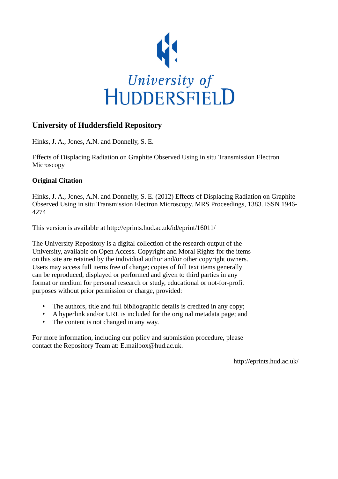

# **University of Huddersfield Repository**

Hinks, J. A., Jones, A.N. and Donnelly, S. E.

Effects of Displacing Radiation on Graphite Observed Using in situ Transmission Electron Microscopy

## **Original Citation**

Hinks, J. A., Jones, A.N. and Donnelly, S. E. (2012) Effects of Displacing Radiation on Graphite Observed Using in situ Transmission Electron Microscopy. MRS Proceedings, 1383. ISSN 1946- 4274

This version is available at http://eprints.hud.ac.uk/id/eprint/16011/

The University Repository is a digital collection of the research output of the University, available on Open Access. Copyright and Moral Rights for the items on this site are retained by the individual author and/or other copyright owners. Users may access full items free of charge; copies of full text items generally can be reproduced, displayed or performed and given to third parties in any format or medium for personal research or study, educational or not-for-profit purposes without prior permission or charge, provided:

- The authors, title and full bibliographic details is credited in any copy;
- A hyperlink and/or URL is included for the original metadata page; and
- The content is not changed in any way.

For more information, including our policy and submission procedure, please contact the Repository Team at: E.mailbox@hud.ac.uk.

http://eprints.hud.ac.uk/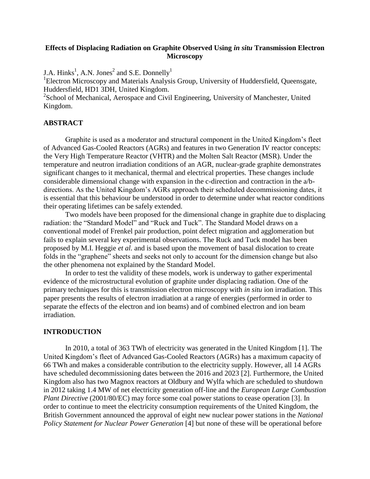## **Effects of Displacing Radiation on Graphite Observed Using** *in situ* **Transmission Electron Microscopy**

J.A. Hinks<sup>1</sup>, A.N. Jones<sup>2</sup> and S.E. Donnelly<sup>1</sup>

<sup>1</sup>Electron Microscopy and Materials Analysis Group, University of Huddersfield, Queensgate, Huddersfield, HD1 3DH, United Kingdom.

<sup>2</sup>School of Mechanical, Aerospace and Civil Engineering, University of Manchester, United Kingdom.

### **ABSTRACT**

Graphite is used as a moderator and structural component in the United Kingdom's fleet of Advanced Gas-Cooled Reactors (AGRs) and features in two Generation IV reactor concepts: the Very High Temperature Reactor (VHTR) and the Molten Salt Reactor (MSR). Under the temperature and neutron irradiation conditions of an AGR, nuclear-grade graphite demonstrates significant changes to it mechanical, thermal and electrical properties. These changes include considerable dimensional change with expansion in the c-direction and contraction in the a/bdirections. As the United Kingdom's AGRs approach their scheduled decommissioning dates, it is essential that this behaviour be understood in order to determine under what reactor conditions their operating lifetimes can be safely extended.

Two models have been proposed for the dimensional change in graphite due to displacing radiation: the "Standard Model" and "Ruck and Tuck". The Standard Model draws on a conventional model of Frenkel pair production, point defect migration and agglomeration but fails to explain several key experimental observations. The Ruck and Tuck model has been proposed by M.I. Heggie *et al.* and is based upon the movement of basal dislocation to create folds in the "graphene" sheets and seeks not only to account for the dimension change but also the other phenomena not explained by the Standard Model.

In order to test the validity of these models, work is underway to gather experimental evidence of the microstructural evolution of graphite under displacing radiation. One of the primary techniques for this is transmission electron microscopy with *in situ* ion irradiation. This paper presents the results of electron irradiation at a range of energies (performed in order to separate the effects of the electron and ion beams) and of combined electron and ion beam irradiation.

#### **INTRODUCTION**

In 2010, a total of 363 TWh of electricity was generated in the United Kingdom [1]. The United Kingdom's fleet of Advanced Gas-Cooled Reactors (AGRs) has a maximum capacity of 66 TWh and makes a considerable contribution to the electricity supply. However, all 14 AGRs have scheduled decommissioning dates between the 2016 and 2023 [2]. Furthermore, the United Kingdom also has two Magnox reactors at Oldbury and Wylfa which are scheduled to shutdown in 2012 taking 1.4 MW of net electricity generation off-line and the *European Large Combustion Plant Directive* (2001/80/EC) may force some coal power stations to cease operation [3]. In order to continue to meet the electricity consumption requirements of the United Kingdom, the British Government announced the approval of eight new nuclear power stations in the *National Policy Statement for Nuclear Power Generation* [4] but none of these will be operational before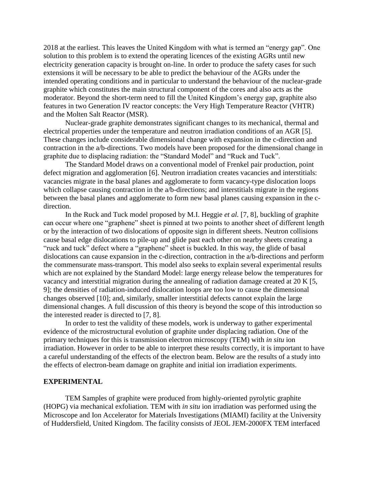2018 at the earliest. This leaves the United Kingdom with what is termed an "energy gap". One solution to this problem is to extend the operating licences of the existing AGRs until new electricity generation capacity is brought on-line. In order to produce the safety cases for such extensions it will be necessary to be able to predict the behaviour of the AGRs under the intended operating conditions and in particular to understand the behaviour of the nuclear-grade graphite which constitutes the main structural component of the cores and also acts as the moderator. Beyond the short-term need to fill the United Kingdom's energy gap, graphite also features in two Generation IV reactor concepts: the Very High Temperature Reactor (VHTR) and the Molten Salt Reactor (MSR).

Nuclear-grade graphite demonstrates significant changes to its mechanical, thermal and electrical properties under the temperature and neutron irradiation conditions of an AGR [5]. These changes include considerable dimensional change with expansion in the c-direction and contraction in the a/b-directions. Two models have been proposed for the dimensional change in graphite due to displacing radiation: the "Standard Model" and "Ruck and Tuck".

The Standard Model draws on a conventional model of Frenkel pair production, point defect migration and agglomeration [6]. Neutron irradiation creates vacancies and interstitials: vacancies migrate in the basal planes and agglomerate to form vacancy-type dislocation loops which collapse causing contraction in the a/b-directions; and interstitials migrate in the regions between the basal planes and agglomerate to form new basal planes causing expansion in the cdirection.

In the Ruck and Tuck model proposed by M.I. Heggie *et al.* [7, 8], buckling of graphite can occur where one "graphene" sheet is pinned at two points to another sheet of different length or by the interaction of two dislocations of opposite sign in different sheets. Neutron collisions cause basal edge dislocations to pile-up and glide past each other on nearby sheets creating a "ruck and tuck" defect where a "graphene" sheet is buckled. In this way, the glide of basal dislocations can cause expansion in the c-direction, contraction in the a/b-directions and perform the commensurate mass-transport. This model also seeks to explain several experimental results which are not explained by the Standard Model: large energy release below the temperatures for vacancy and interstitial migration during the annealing of radiation damage created at 20 K [5, 9]; the densities of radiation-induced dislocation loops are too low to cause the dimensional changes observed [10]; and, similarly, smaller interstitial defects cannot explain the large dimensional changes. A full discussion of this theory is beyond the scope of this introduction so the interested reader is directed to [7, 8].

In order to test the validity of these models, work is underway to gather experimental evidence of the microstructural evolution of graphite under displacing radiation. One of the primary techniques for this is transmission electron microscopy (TEM) with *in situ* ion irradiation. However in order to be able to interpret these results correctly, it is important to have a careful understanding of the effects of the electron beam. Below are the results of a study into the effects of electron-beam damage on graphite and initial ion irradiation experiments.

#### **EXPERIMENTAL**

TEM Samples of graphite were produced from highly-oriented pyrolytic graphite (HOPG) via mechanical exfoliation. TEM with *in situ* ion irradiation was performed using the Microscope and Ion Accelerator for Materials Investigations (MIAMI) facility at the University of Huddersfield, United Kingdom. The facility consists of JEOL JEM-2000FX TEM interfaced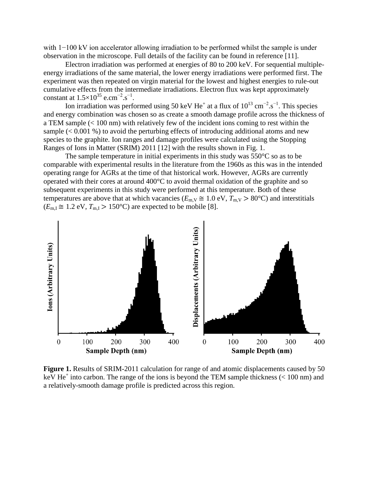with 1−100 kV ion accelerator allowing irradiation to be performed whilst the sample is under observation in the microscope. Full details of the facility can be found in reference [11].

Electron irradiation was performed at energies of 80 to 200 keV. For sequential multipleenergy irradiations of the same material, the lower energy irradiations were performed first. The experiment was then repeated on virgin material for the lowest and highest energies to rule-out cumulative effects from the intermediate irradiations. Electron flux was kept approximately constant at  $1.5 \times 10^{35}$  e.cm<sup>-2</sup>.s<sup>-1</sup>.

Ion irradiation was performed using 50 keV He<sup>+</sup> at a flux of  $10^{13}$  cm<sup>-2</sup>.s<sup>-1</sup>. This species and energy combination was chosen so as create a smooth damage profile across the thickness of a TEM sample  $(< 100 \text{ nm})$  with relatively few of the incident ions coming to rest within the sample  $(< 0.001$  %) to avoid the perturbing effects of introducing additional atoms and new species to the graphite. Ion ranges and damage profiles were calculated using the Stopping Ranges of Ions in Matter (SRIM) 2011 [12] with the results shown in Fig. 1.

The sample temperature in initial experiments in this study was  $550^{\circ}$ C so as to be comparable with experimental results in the literature from the 1960s as this was in the intended operating range for AGRs at the time of that historical work. However, AGRs are currently operated with their cores at around 400°C to avoid thermal oxidation of the graphite and so subsequent experiments in this study were performed at this temperature. Both of these temperatures are above that at which vacancies ( $E_{m,V} \cong 1.0$  eV,  $T_{m,V} > 80$ °C) and interstitials  $(E_{m,I} \cong 1.2 \text{ eV}, T_{m,I} > 150^{\circ}\text{C}$  are expected to be mobile [8].



Figure 1. Results of SRIM-2011 calculation for range of and atomic displacements caused by 50 keV He<sup>+</sup> into carbon. The range of the ions is beyond the TEM sample thickness (< 100 nm) and a relatively-smooth damage profile is predicted across this region.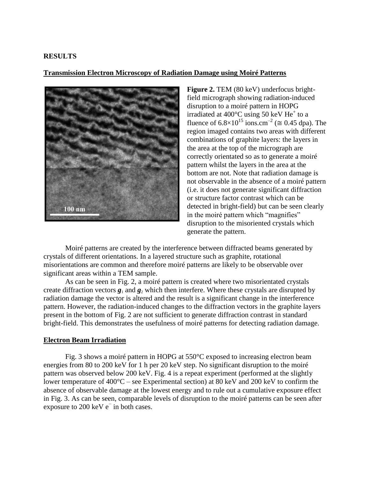#### **RESULTS**

#### **Transmission Electron Microscopy of Radiation Damage using Moiré Patterns**



Figure 2. TEM (80 keV) underfocus brightfield micrograph showing radiation-induced disruption to a moiré pattern in HOPG irradiated at  $400^{\circ}$ C using 50 keV He<sup>+</sup> to a fluence of  $6.8 \times 10^{15}$  ions.cm<sup>-2</sup> ( $\approx 0.45$  dpa). The region imaged contains two areas with different combinations of graphite layers: the layers in the area at the top of the micrograph are correctly orientated so as to generate a moiré pattern whilst the layers in the area at the bottom are not. Note that radiation damage is not observable in the absence of a moiré pattern (i.e. it does not generate significant diffraction or structure factor contrast which can be detected in bright-field) but can be seen clearly in the moiré pattern which "magnifies" disruption to the misoriented crystals which generate the pattern.

Moiré patterns are created by the interference between diffracted beams generated by crystals of different orientations. In a layered structure such as graphite, rotational misorientations are common and therefore moiré patterns are likely to be observable over significant areas within a TEM sample.

As can be seen in Fig. 2, a moiré pattern is created where two misorientated crystals create diffraction vectors  $g_1$  and  $g_2$  which then interfere. Where these crystals are disrupted by radiation damage the vector is altered and the result is a significant change in the interference pattern. However, the radiation-induced changes to the diffraction vectors in the graphite layers present in the bottom of Fig. 2 are not sufficient to generate diffraction contrast in standard bright-field. This demonstrates the usefulness of moiré patterns for detecting radiation damage.

#### **Electron Beam Irradiation**

Fig. 3 shows a moiré pattern in HOPG at 550°C exposed to increasing electron beam energies from 80 to 200 keV for 1 h per 20 keV step. No significant disruption to the moiré pattern was observed below 200 keV. Fig. 4 is a repeat experiment (performed at the slightly lower temperature of 400°C – see Experimental section) at 80 keV and 200 keV to confirm the absence of observable damage at the lowest energy and to rule out a cumulative exposure effect in Fig. 3. As can be seen, comparable levels of disruption to the moiré patterns can be seen after exposure to 200 keV e<sup>−</sup> in both cases.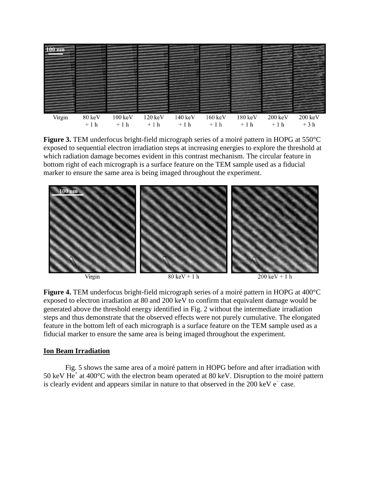

**Figure 3.** TEM underfocus bright-field micrograph series of a moiré pattern in HOPG at 550°C exposed to sequential electron irradiation steps at increasing energies to explore the threshold at which radiation damage becomes evident in this contrast mechanism. The circular feature in bottom right of each micrograph is a surface feature on the TEM sample used as a fiducial marker to ensure the same area is being imaged throughout the experiment.



**Figure 4.** TEM underfocus bright-field micrograph series of a moiré pattern in HOPG at 400°C exposed to electron irradiation at 80 and 200 keV to confirm that equivalent damage would be generated above the threshold energy identified in Fig. 2 without the intermediate irradiation steps and thus demonstrate that the observed effects were not purely cumulative. The elongated feature in the bottom left of each micrograph is a surface feature on the TEM sample used as a fiducial marker to ensure the same area is being imaged throughout the experiment.

#### **Ion Beam Irradiation**

Fig. 5 shows the same area of a moiré pattern in HOPG before and after irradiation with 50 keV  $He^+$  at 400 °C with the electron beam operated at 80 keV. Disruption to the moiré pattern is clearly evident and appears similar in nature to that observed in the 200 keV e<sup>−</sup> case.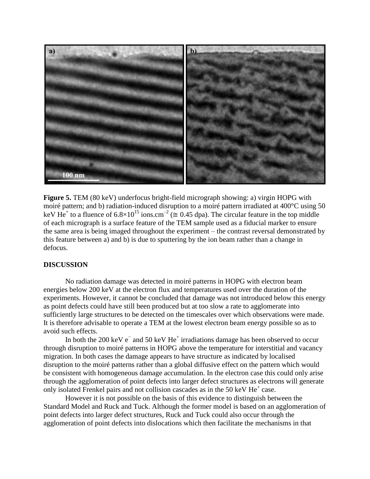

**Figure 5.** TEM (80 keV) underfocus bright-field micrograph showing: a) virgin HOPG with moiré pattern; and b) radiation-induced disruption to a moiré pattern irradiated at 400°C using 50 keV He<sup>+</sup> to a fluence of  $6.8 \times 10^{15}$  ions.cm<sup>-2</sup> ( $\approx 0.45$  dpa). The circular feature in the top middle of each micrograph is a surface feature of the TEM sample used as a fiducial marker to ensure the same area is being imaged throughout the experiment – the contrast reversal demonstrated by this feature between a) and b) is due to sputtering by the ion beam rather than a change in defocus.

#### **DISCUSSION**

No radiation damage was detected in moiré patterns in HOPG with electron beam energies below 200 keV at the electron flux and temperatures used over the duration of the experiments. However, it cannot be concluded that damage was not introduced below this energy as point defects could have still been produced but at too slow a rate to agglomerate into sufficiently large structures to be detected on the timescales over which observations were made. It is therefore advisable to operate a TEM at the lowest electron beam energy possible so as to avoid such effects.

In both the 200 keV  $e^-$  and 50 keV He<sup>+</sup> irradiations damage has been observed to occur through disruption to moiré patterns in HOPG above the temperature for interstitial and vacancy migration. In both cases the damage appears to have structure as indicated by localised disruption to the moiré patterns rather than a global diffusive effect on the pattern which would be consistent with homogeneous damage accumulation. In the electron case this could only arise through the agglomeration of point defects into larger defect structures as electrons will generate only isolated Frenkel pairs and not collision cascades as in the 50 keV He<sup>+</sup> case.

However it is not possible on the basis of this evidence to distinguish between the Standard Model and Ruck and Tuck. Although the former model is based on an agglomeration of point defects into larger defect structures, Ruck and Tuck could also occur through the agglomeration of point defects into dislocations which then facilitate the mechanisms in that